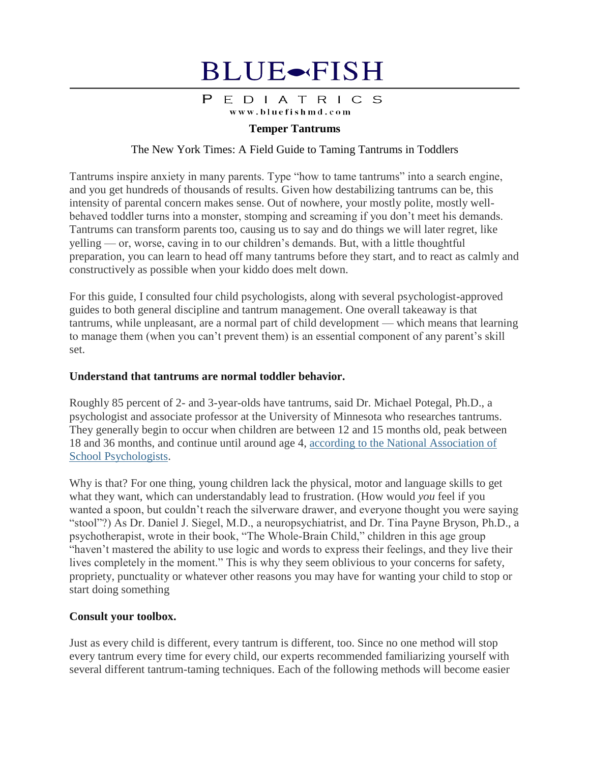#### $\mathsf{P}$ EDIATRICS www.bluefishmd.com

### **Temper Tantrums**

### The New York Times: A Field Guide to Taming Tantrums in Toddlers

Tantrums inspire anxiety in many parents. Type "how to tame tantrums" into a search engine, and you get hundreds of thousands of results. Given how destabilizing tantrums can be, this intensity of parental concern makes sense. Out of nowhere, your mostly polite, mostly wellbehaved toddler turns into a monster, stomping and screaming if you don't meet his demands. Tantrums can transform parents too, causing us to say and do things we will later regret, like yelling — or, worse, caving in to our children's demands. But, with a little thoughtful preparation, you can learn to head off many tantrums before they start, and to react as calmly and constructively as possible when your kiddo does melt down.

For this guide, I consulted four child psychologists, along with several psychologist-approved guides to both general discipline and tantrum management. One overall takeaway is that tantrums, while unpleasant, are a normal part of child development — which means that learning to manage them (when you can't prevent them) is an essential component of any parent's skill set.

### **Understand that tantrums are normal toddler behavior.**

Roughly 85 percent of 2- and 3-year-olds have tantrums, said Dr. Michael Potegal, Ph.D., a psychologist and associate professor at the University of Minnesota who researches tantrums. They generally begin to occur when children are between 12 and 15 months old, peak between 18 and 36 months, and continue until around age 4, according to the National [Association](http://www.naspcenter.org/parents/tantrums_ho.html) of School [Psychologists.](http://www.naspcenter.org/parents/tantrums_ho.html)

Why is that? For one thing, young children lack the physical, motor and language skills to get what they want, which can understandably lead to frustration. (How would *you* feel if you wanted a spoon, but couldn't reach the silverware drawer, and everyone thought you were saying "stool"?) As Dr. Daniel J. Siegel, M.D., a neuropsychiatrist, and Dr. Tina Payne Bryson, Ph.D., a psychotherapist, wrote in their book, "The Whole-Brain Child," children in this age group "haven't mastered the ability to use logic and words to express their feelings, and they live their lives completely in the moment." This is why they seem oblivious to your concerns for safety, propriety, punctuality or whatever other reasons you may have for wanting your child to stop or start doing something

### **Consult your toolbox.**

Just as every child is different, every tantrum is different, too. Since no one method will stop every tantrum every time for every child, our experts recommended familiarizing yourself with several different tantrum-taming techniques. Each of the following methods will become easier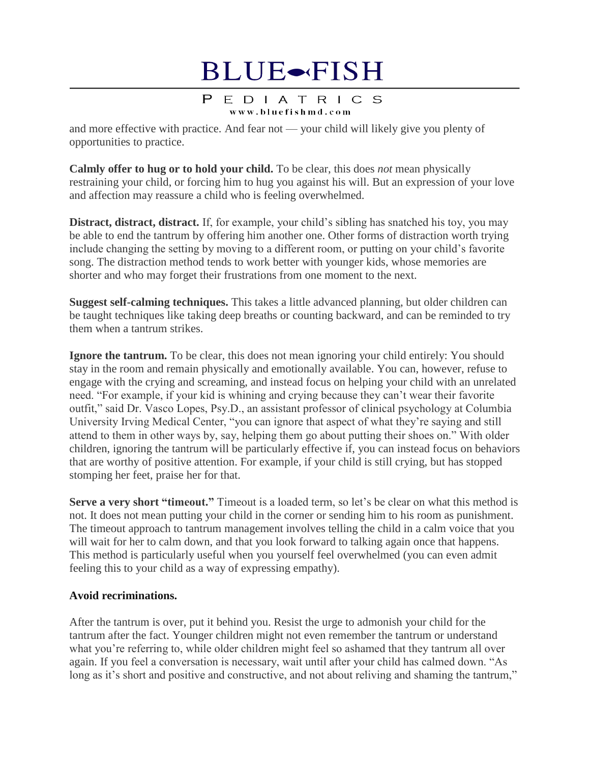#### $\mathsf{P}$ EDIATRICS www.bluefishmd.com

and more effective with practice. And fear not — your child will likely give you plenty of opportunities to practice.

**Calmly offer to hug or to hold your child.** To be clear, this does *not* mean physically restraining your child, or forcing him to hug you against his will. But an expression of your love and affection may reassure a child who is feeling overwhelmed.

**Distract, distract, distract.** If, for example, your child's sibling has snatched his toy, you may be able to end the tantrum by offering him another one. Other forms of distraction worth trying include changing the setting by moving to a different room, or putting on your child's favorite song. The distraction method tends to work better with younger kids, whose memories are shorter and who may forget their frustrations from one moment to the next.

**Suggest self-calming techniques.** This takes a little advanced planning, but older children can be taught techniques like taking deep breaths or counting backward, and can be reminded to try them when a tantrum strikes.

**Ignore the tantrum.** To be clear, this does not mean ignoring your child entirely: You should stay in the room and remain physically and emotionally available. You can, however, refuse to engage with the crying and screaming, and instead focus on helping your child with an unrelated need. "For example, if your kid is whining and crying because they can't wear their favorite outfit," said Dr. Vasco Lopes, Psy.D., an assistant professor of clinical psychology at Columbia University Irving Medical Center, "you can ignore that aspect of what they're saying and still attend to them in other ways by, say, helping them go about putting their shoes on." With older children, ignoring the tantrum will be particularly effective if, you can instead focus on behaviors that are worthy of positive attention. For example, if your child is still crying, but has stopped stomping her feet, praise her for that.

**Serve a very short "timeout."** Timeout is a loaded term, so let's be clear on what this method is not. It does not mean putting your child in the corner or sending him to his room as punishment. The timeout approach to tantrum management involves telling the child in a calm voice that you will wait for her to calm down, and that you look forward to talking again once that happens. This method is particularly useful when you yourself feel overwhelmed (you can even admit feeling this to your child as a way of expressing empathy).

### **Avoid recriminations.**

After the tantrum is over, put it behind you. Resist the urge to admonish your child for the tantrum after the fact. Younger children might not even remember the tantrum or understand what you're referring to, while older children might feel so ashamed that they tantrum all over again. If you feel a conversation is necessary, wait until after your child has calmed down. "As long as it's short and positive and constructive, and not about reliving and shaming the tantrum,"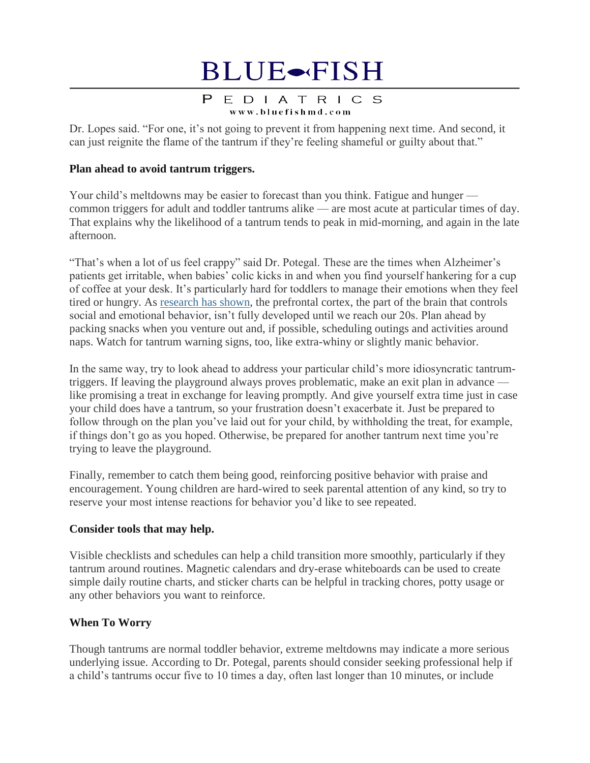#### $\mathsf{P}$ EDIATRICS www.bluefishmd.com

Dr. Lopes said. "For one, it's not going to prevent it from happening next time. And second, it can just reignite the flame of the tantrum if they're feeling shameful or guilty about that."

## **Plan ahead to avoid tantrum triggers.**

Your child's meltdowns may be easier to forecast than you think. Fatigue and hunger common triggers for adult and toddler tantrums alike — are most acute at particular times of day. That explains why the likelihood of a tantrum tends to peak in mid-morning, and again in the late afternoon.

"That's when a lot of us feel crappy" said Dr. Potegal. These are the times when Alzheimer's patients get irritable, when babies' colic kicks in and when you find yourself hankering for a cup of coffee at your desk. It's particularly hard for toddlers to manage their emotions when they feel tired or hungry. As [research](http://www.jneurosci.org/content/21/22/8819) has shown, the prefrontal cortex, the part of the brain that controls social and emotional behavior, isn't fully developed until we reach our 20s. Plan ahead by packing snacks when you venture out and, if possible, scheduling outings and activities around naps. Watch for tantrum warning signs, too, like extra-whiny or slightly manic behavior.

In the same way, try to look ahead to address your particular child's more idiosyncratic tantrumtriggers. If leaving the playground always proves problematic, make an exit plan in advance like promising a treat in exchange for leaving promptly. And give yourself extra time just in case your child does have a tantrum, so your frustration doesn't exacerbate it. Just be prepared to follow through on the plan you've laid out for your child, by withholding the treat, for example, if things don't go as you hoped. Otherwise, be prepared for another tantrum next time you're trying to leave the playground.

Finally, remember to catch them being good, reinforcing positive behavior with praise and encouragement. Young children are hard-wired to seek parental attention of any kind, so try to reserve your most intense reactions for behavior you'd like to see repeated.

## **Consider tools that may help.**

Visible checklists and schedules can help a child transition more smoothly, particularly if they tantrum around routines. Magnetic calendars and dry-erase whiteboards can be used to create simple daily routine charts, and sticker charts can be helpful in tracking chores, potty usage or any other behaviors you want to reinforce.

## **When To Worry**

Though tantrums are normal toddler behavior, extreme meltdowns may indicate a more serious underlying issue. According to Dr. Potegal, parents should consider seeking professional help if a child's tantrums occur five to 10 times a day, often last longer than 10 minutes, or include